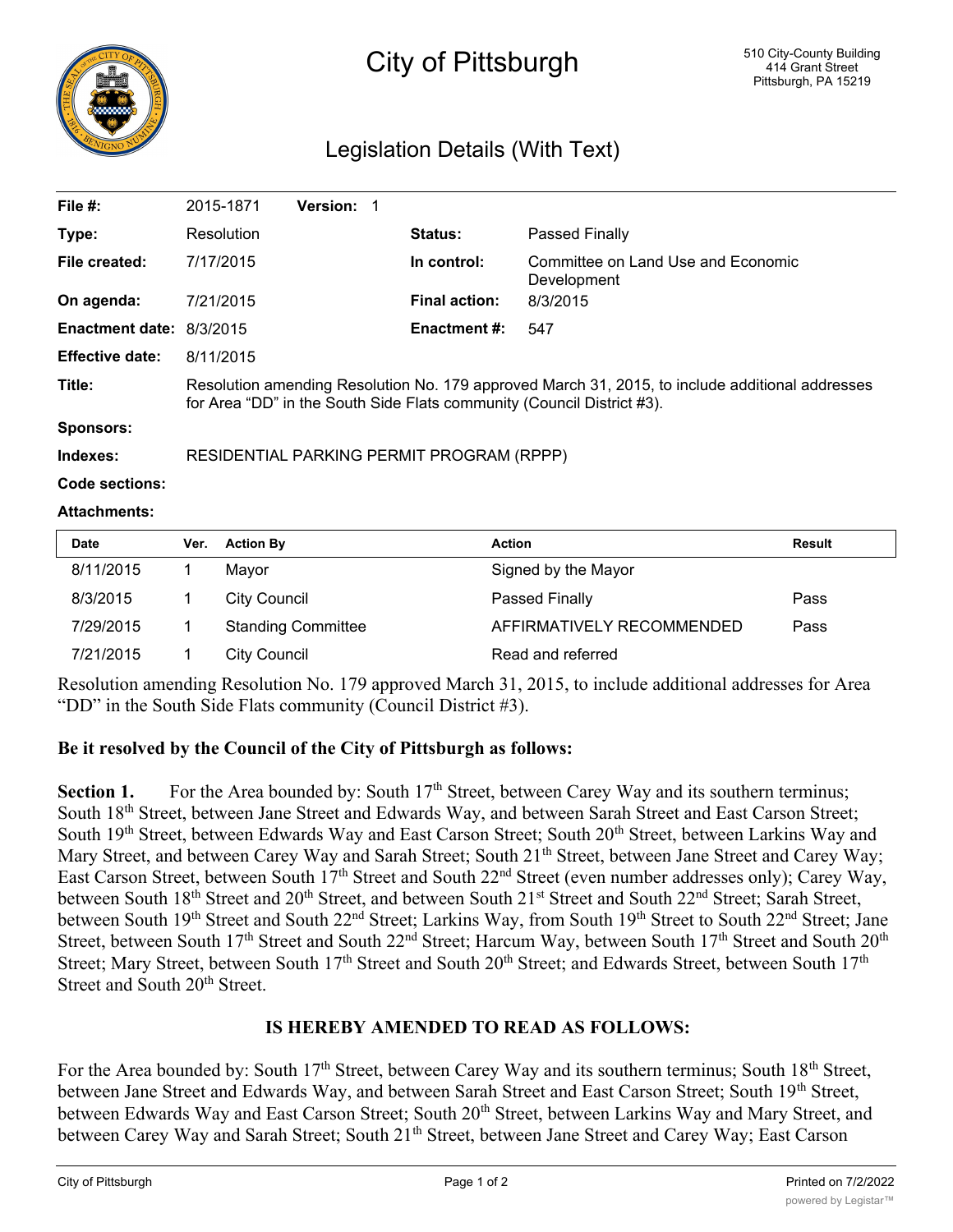

# City of Pittsburgh

# Legislation Details (With Text)

| File $#$ :               | 2015-1871                                                                                                                                                                 | <b>Version: 1</b> |  |                      |                                                   |  |
|--------------------------|---------------------------------------------------------------------------------------------------------------------------------------------------------------------------|-------------------|--|----------------------|---------------------------------------------------|--|
| Type:                    | Resolution                                                                                                                                                                |                   |  | <b>Status:</b>       | Passed Finally                                    |  |
| File created:            | 7/17/2015                                                                                                                                                                 |                   |  | In control:          | Committee on Land Use and Economic<br>Development |  |
| On agenda:               | 7/21/2015                                                                                                                                                                 |                   |  | <b>Final action:</b> | 8/3/2015                                          |  |
| Enactment date: 8/3/2015 |                                                                                                                                                                           |                   |  | <b>Enactment #:</b>  | 547                                               |  |
| <b>Effective date:</b>   | 8/11/2015                                                                                                                                                                 |                   |  |                      |                                                   |  |
| Title:                   | Resolution amending Resolution No. 179 approved March 31, 2015, to include additional addresses<br>for Area "DD" in the South Side Flats community (Council District #3). |                   |  |                      |                                                   |  |
| <b>Sponsors:</b>         |                                                                                                                                                                           |                   |  |                      |                                                   |  |
| Indexes:                 | RESIDENTIAL PARKING PERMIT PROGRAM (RPPP)                                                                                                                                 |                   |  |                      |                                                   |  |
| Code sections:           |                                                                                                                                                                           |                   |  |                      |                                                   |  |

#### **Attachments:**

| <b>Date</b> | Ver. | <b>Action By</b>          | <b>Action</b>             | <b>Result</b> |
|-------------|------|---------------------------|---------------------------|---------------|
| 8/11/2015   |      | Mavor                     | Signed by the Mayor       |               |
| 8/3/2015    |      | City Council              | Passed Finally            | Pass          |
| 7/29/2015   |      | <b>Standing Committee</b> | AFFIRMATIVELY RECOMMENDED | Pass          |
| 7/21/2015   |      | City Council              | Read and referred         |               |

Resolution amending Resolution No. 179 approved March 31, 2015, to include additional addresses for Area "DD" in the South Side Flats community (Council District #3).

## **Be it resolved by the Council of the City of Pittsburgh as follows:**

Section 1. For the Area bounded by: South 17<sup>th</sup> Street, between Carey Way and its southern terminus; South 18<sup>th</sup> Street, between Jane Street and Edwards Way, and between Sarah Street and East Carson Street; South 19<sup>th</sup> Street, between Edwards Way and East Carson Street; South 20<sup>th</sup> Street, between Larkins Way and Mary Street, and between Carey Way and Sarah Street; South 21<sup>th</sup> Street, between Jane Street and Carey Way; East Carson Street, between South 17<sup>th</sup> Street and South 22<sup>nd</sup> Street (even number addresses only); Carey Way, between South 18<sup>th</sup> Street and 20<sup>th</sup> Street, and between South 21<sup>st</sup> Street and South 22<sup>nd</sup> Street; Sarah Street, between South 19th Street and South 22<sup>nd</sup> Street; Larkins Way, from South 19th Street to South 22<sup>nd</sup> Street; Jane Street, between South 17<sup>th</sup> Street and South 22<sup>nd</sup> Street; Harcum Way, between South 17<sup>th</sup> Street and South 20<sup>th</sup> Street; Mary Street, between South 17<sup>th</sup> Street and South 20<sup>th</sup> Street; and Edwards Street, between South 17<sup>th</sup> Street and South 20<sup>th</sup> Street.

## **IS HEREBY AMENDED TO READ AS FOLLOWS:**

For the Area bounded by: South 17<sup>th</sup> Street, between Carey Way and its southern terminus; South 18<sup>th</sup> Street, between Jane Street and Edwards Way, and between Sarah Street and East Carson Street; South 19th Street, between Edwards Way and East Carson Street; South 20<sup>th</sup> Street, between Larkins Way and Mary Street, and between Carey Way and Sarah Street; South 21<sup>th</sup> Street, between Jane Street and Carey Way; East Carson